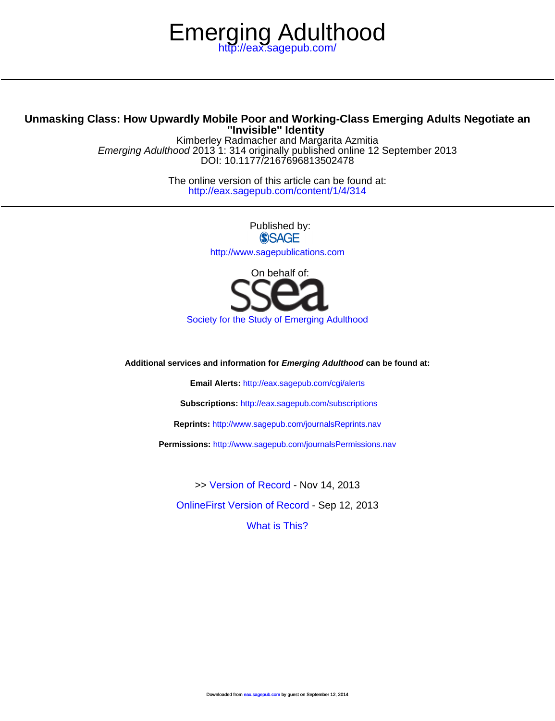# <http://eax.sagepub.com/> Emerging Adulthood

# **''Invisible'' Identity Unmasking Class: How Upwardly Mobile Poor and Working-Class Emerging Adults Negotiate an**

DOI: 10.1177/2167696813502478 Emerging Adulthood 2013 1: 314 originally published online 12 September 2013 Kimberley Radmacher and Margarita Azmitia

> <http://eax.sagepub.com/content/1/4/314> The online version of this article can be found at:

> > Published by: **SSAGE** <http://www.sagepublications.com>



**Additional services and information for Emerging Adulthood can be found at:**

**Email Alerts:** <http://eax.sagepub.com/cgi/alerts>

**Subscriptions:** <http://eax.sagepub.com/subscriptions>

**Reprints:** <http://www.sagepub.com/journalsReprints.nav>

**Permissions:** <http://www.sagepub.com/journalsPermissions.nav>

>> [Version of Record -](http://eax.sagepub.com/content/1/4/314.full.pdf) Nov 14, 2013

[OnlineFirst Version of Record -](http://eax.sagepub.com/content/early/2013/09/12/2167696813502478.full.pdf) Sep 12, 2013

[What is This?](http://online.sagepub.com/site/sphelp/vorhelp.xhtml)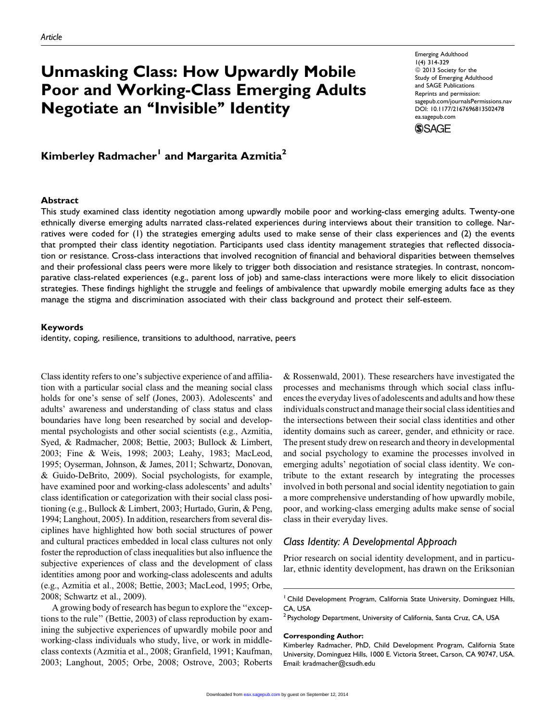# Unmasking Class: How Upwardly Mobile Poor and Working-Class Emerging Adults Negotiate an ''Invisible'' Identity

Emerging Adulthood 1(4) 314-329  $\odot$  2013 Society for the Study of Emerging Adulthood and SAGE Publications Reprints and permission: [sagepub.com/journalsPermissions.nav](http://www.sagepub.com/journalsPermissions.nav) DOI: 10.1177/2167696813502478 [ea.sagepub.com](http://ea.sagepub.com)



Kimberley Radmacher<sup>1</sup> and Margarita Azmitia<sup>2</sup>

#### Abstract

This study examined class identity negotiation among upwardly mobile poor and working-class emerging adults. Twenty-one ethnically diverse emerging adults narrated class-related experiences during interviews about their transition to college. Narratives were coded for (1) the strategies emerging adults used to make sense of their class experiences and (2) the events that prompted their class identity negotiation. Participants used class identity management strategies that reflected dissociation or resistance. Cross-class interactions that involved recognition of financial and behavioral disparities between themselves and their professional class peers were more likely to trigger both dissociation and resistance strategies. In contrast, noncomparative class-related experiences (e.g., parent loss of job) and same-class interactions were more likely to elicit dissociation strategies. These findings highlight the struggle and feelings of ambivalence that upwardly mobile emerging adults face as they manage the stigma and discrimination associated with their class background and protect their self-esteem.

#### Keywords

identity, coping, resilience, transitions to adulthood, narrative, peers

Class identity refers to one's subjective experience of and affiliation with a particular social class and the meaning social class holds for one's sense of self (Jones, 2003). Adolescents' and adults' awareness and understanding of class status and class boundaries have long been researched by social and developmental psychologists and other social scientists (e.g., Azmitia, Syed, & Radmacher, 2008; Bettie, 2003; Bullock & Limbert, 2003; Fine & Weis, 1998; 2003; Leahy, 1983; MacLeod, 1995; Oyserman, Johnson, & James, 2011; Schwartz, Donovan, & Guido-DeBrito, 2009). Social psychologists, for example, have examined poor and working-class adolescents' and adults' class identification or categorization with their social class positioning (e.g., Bullock & Limbert, 2003; Hurtado, Gurin, & Peng, 1994; Langhout, 2005). In addition, researchers from several disciplines have highlighted how both social structures of power and cultural practices embedded in local class cultures not only foster the reproduction of class inequalities but also influence the subjective experiences of class and the development of class identities among poor and working-class adolescents and adults (e.g., Azmitia et al., 2008; Bettie, 2003; MacLeod, 1995; Orbe, 2008; Schwartz et al., 2009).

A growing body of research has begun to explore the ''exceptions to the rule'' (Bettie, 2003) of class reproduction by examining the subjective experiences of upwardly mobile poor and working-class individuals who study, live, or work in middleclass contexts (Azmitia et al., 2008; Granfield, 1991; Kaufman, 2003; Langhout, 2005; Orbe, 2008; Ostrove, 2003; Roberts

& Rossenwald, 2001). These researchers have investigated the processes and mechanisms through which social class influences the everyday lives of adolescents and adults and how these individuals construct and manage their social class identities and the intersections between their social class identities and other identity domains such as career, gender, and ethnicity or race. The present study drew on research and theory in developmental and social psychology to examine the processes involved in emerging adults' negotiation of social class identity. We contribute to the extant research by integrating the processes involved in both personal and social identity negotiation to gain a more comprehensive understanding of how upwardly mobile, poor, and working-class emerging adults make sense of social class in their everyday lives.

## Class Identity: A Developmental Approach

Prior research on social identity development, and in particular, ethnic identity development, has drawn on the Eriksonian

#### Corresponding Author:

<sup>&</sup>lt;sup>1</sup> Child Development Program, California State University, Dominguez Hills, CA, USA

<sup>&</sup>lt;sup>2</sup> Psychology Department, University of California, Santa Cruz, CA, USA

Kimberley Radmacher, PhD, Child Development Program, California State University, Dominguez Hills, 1000 E. Victoria Street, Carson, CA 90747, USA. Email: kradmacher@csudh.edu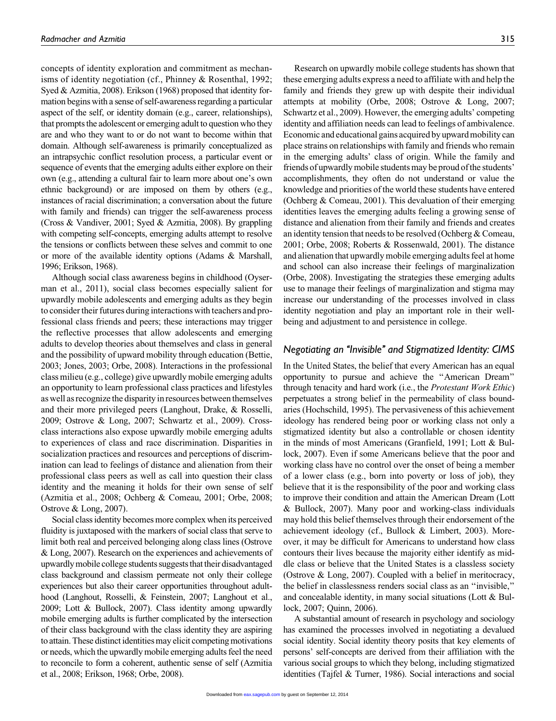concepts of identity exploration and commitment as mechanisms of identity negotiation (cf., Phinney & Rosenthal, 1992; Syed & Azmitia, 2008). Erikson (1968) proposed that identity formation begins with a sense of self-awareness regarding a particular aspect of the self, or identity domain (e.g., career, relationships), that prompts the adolescent or emerging adult to question who they are and who they want to or do not want to become within that domain. Although self-awareness is primarily conceptualized as an intrapsychic conflict resolution process, a particular event or sequence of events that the emerging adults either explore on their own (e.g., attending a cultural fair to learn more about one's own ethnic background) or are imposed on them by others (e.g., instances of racial discrimination; a conversation about the future with family and friends) can trigger the self-awareness process (Cross & Vandiver, 2001; Syed & Azmitia, 2008). By grappling with competing self-concepts, emerging adults attempt to resolve the tensions or conflicts between these selves and commit to one or more of the available identity options (Adams & Marshall, 1996; Erikson, 1968).

Although social class awareness begins in childhood (Oyserman et al., 2011), social class becomes especially salient for upwardly mobile adolescents and emerging adults as they begin to consider their futures during interactions with teachers and professional class friends and peers; these interactions may trigger the reflective processes that allow adolescents and emerging adults to develop theories about themselves and class in general and the possibility of upward mobility through education (Bettie, 2003; Jones, 2003; Orbe, 2008). Interactions in the professional class milieu (e.g., college) give upwardly mobile emerging adults an opportunity to learn professional class practices and lifestyles as well as recognize the disparity in resources between themselves and their more privileged peers (Langhout, Drake, & Rosselli, 2009; Ostrove & Long, 2007; Schwartz et al., 2009). Crossclass interactions also expose upwardly mobile emerging adults to experiences of class and race discrimination. Disparities in socialization practices and resources and perceptions of discrimination can lead to feelings of distance and alienation from their professional class peers as well as call into question their class identity and the meaning it holds for their own sense of self (Azmitia et al., 2008; Ochberg & Comeau, 2001; Orbe, 2008; Ostrove & Long, 2007).

Social class identity becomes more complex when its perceived fluidity is juxtaposed with the markers of social class that serve to limit both real and perceived belonging along class lines (Ostrove & Long, 2007). Research on the experiences and achievements of upwardly mobile college students suggests that their disadvantaged class background and classism permeate not only their college experiences but also their career opportunities throughout adulthood (Langhout, Rosselli, & Feinstein, 2007; Langhout et al., 2009; Lott & Bullock, 2007). Class identity among upwardly mobile emerging adults is further complicated by the intersection of their class background with the class identity they are aspiring to attain. These distinct identities may elicit competing motivations or needs, which the upwardly mobile emerging adults feel the need to reconcile to form a coherent, authentic sense of self (Azmitia et al., 2008; Erikson, 1968; Orbe, 2008).

Research on upwardly mobile college students has shown that these emerging adults express a need to affiliate with and help the family and friends they grew up with despite their individual attempts at mobility (Orbe, 2008; Ostrove & Long, 2007; Schwartz et al., 2009). However, the emerging adults' competing identity and affiliation needs can lead to feelings of ambivalence. Economic and educational gains acquired by upward mobility can place strains on relationships with family and friends who remain in the emerging adults' class of origin. While the family and friends of upwardly mobile students may be proud ofthe students' accomplishments, they often do not understand or value the knowledge and priorities of the world these students have entered (Ochberg & Comeau, 2001). This devaluation of their emerging identities leaves the emerging adults feeling a growing sense of distance and alienation from their family and friends and creates an identity tension that needs to be resolved (Ochberg & Comeau, 2001; Orbe, 2008; Roberts & Rossenwald, 2001). The distance and alienation that upwardly mobile emerging adults feel at home and school can also increase their feelings of marginalization (Orbe, 2008). Investigating the strategies these emerging adults use to manage their feelings of marginalization and stigma may increase our understanding of the processes involved in class identity negotiation and play an important role in their wellbeing and adjustment to and persistence in college.

## Negotiating an ''Invisible'' and Stigmatized Identity: CIMS

In the United States, the belief that every American has an equal opportunity to pursue and achieve the ''American Dream'' through tenacity and hard work (i.e., the Protestant Work Ethic) perpetuates a strong belief in the permeability of class boundaries (Hochschild, 1995). The pervasiveness of this achievement ideology has rendered being poor or working class not only a stigmatized identity but also a controllable or chosen identity in the minds of most Americans (Granfield, 1991; Lott & Bullock, 2007). Even if some Americans believe that the poor and working class have no control over the onset of being a member of a lower class (e.g., born into poverty or loss of job), they believe that it is the responsibility of the poor and working class to improve their condition and attain the American Dream (Lott & Bullock, 2007). Many poor and working-class individuals may hold this belief themselves through their endorsement of the achievement ideology (cf., Bullock & Limbert, 2003). Moreover, it may be difficult for Americans to understand how class contours their lives because the majority either identify as middle class or believe that the United States is a classless society (Ostrove & Long, 2007). Coupled with a belief in meritocracy, the belief in classlessness renders social class as an ''invisible,'' and concealable identity, in many social situations (Lott & Bullock, 2007; Quinn, 2006).

A substantial amount of research in psychology and sociology has examined the processes involved in negotiating a devalued social identity. Social identity theory posits that key elements of persons' self-concepts are derived from their affiliation with the various social groups to which they belong, including stigmatized identities (Tajfel & Turner, 1986). Social interactions and social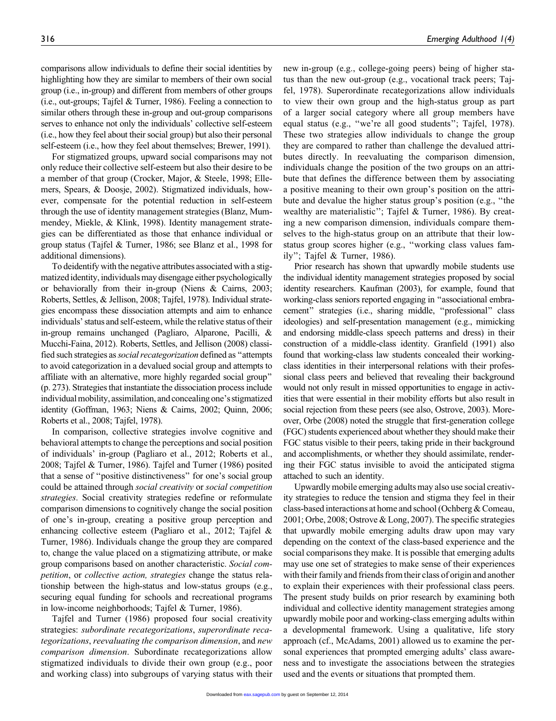comparisons allow individuals to define their social identities by highlighting how they are similar to members of their own social group (i.e., in-group) and different from members of other groups (i.e., out-groups; Tajfel & Turner, 1986). Feeling a connection to similar others through these in-group and out-group comparisons serves to enhance not only the individuals' collective self-esteem (i.e., how they feel about their social group) but also their personal self-esteem (i.e., how they feel about themselves; Brewer, 1991).

For stigmatized groups, upward social comparisons may not only reduce their collective self-esteem but also their desire to be a member of that group (Crocker, Major, & Steele, 1998; Ellemers, Spears, & Doosje, 2002). Stigmatized individuals, however, compensate for the potential reduction in self-esteem through the use of identity management strategies (Blanz, Mummendey, Miekle, & Klink, 1998). Identity management strategies can be differentiated as those that enhance individual or group status (Tajfel & Turner, 1986; see Blanz et al., 1998 for additional dimensions).

To deidentify with the negative attributes associated with a stigmatized identity, individuals may disengage either psychologically or behaviorally from their in-group (Niens & Cairns, 2003; Roberts, Settles, & Jellison, 2008; Tajfel, 1978). Individual strategies encompass these dissociation attempts and aim to enhance individuals' status and self-esteem, while the relative status of their in-group remains unchanged (Pagliaro, Alparone, Pacilli, & Mucchi-Faina, 2012). Roberts, Settles, and Jellison (2008) classified such strategies as *social recategorization* defined as "attempts to avoid categorization in a devalued social group and attempts to affiliate with an alternative, more highly regarded social group'' (p. 273). Strategies that instantiate the dissociation process include individual mobility, assimilation, and concealing one's stigmatized identity (Goffman, 1963; Niens & Cairns, 2002; Quinn, 2006; Roberts et al., 2008; Tajfel, 1978).

In comparison, collective strategies involve cognitive and behavioral attempts to change the perceptions and social position of individuals' in-group (Pagliaro et al., 2012; Roberts et al., 2008; Tajfel & Turner, 1986). Tajfel and Turner (1986) posited that a sense of ''positive distinctiveness'' for one's social group could be attained through social creativity or social competition strategies. Social creativity strategies redefine or reformulate comparison dimensions to cognitively change the social position of one's in-group, creating a positive group perception and enhancing collective esteem (Pagliaro et al., 2012; Tajfel & Turner, 1986). Individuals change the group they are compared to, change the value placed on a stigmatizing attribute, or make group comparisons based on another characteristic. Social competition, or collective action, strategies change the status relationship between the high-status and low-status groups (e.g., securing equal funding for schools and recreational programs in low-income neighborhoods; Tajfel & Turner, 1986).

Tajfel and Turner (1986) proposed four social creativity strategies: subordinate recategorizations, superordinate recategorizations, reevaluating the comparison dimension, and new comparison dimension. Subordinate recategorizations allow stigmatized individuals to divide their own group (e.g., poor and working class) into subgroups of varying status with their

new in-group (e.g., college-going peers) being of higher status than the new out-group (e.g., vocational track peers; Tajfel, 1978). Superordinate recategorizations allow individuals to view their own group and the high-status group as part of a larger social category where all group members have equal status (e.g., ''we're all good students''; Tajfel, 1978). These two strategies allow individuals to change the group they are compared to rather than challenge the devalued attributes directly. In reevaluating the comparison dimension, individuals change the position of the two groups on an attribute that defines the difference between them by associating a positive meaning to their own group's position on the attribute and devalue the higher status group's position (e.g., ''the wealthy are materialistic"; Tajfel & Turner, 1986). By creating a new comparison dimension, individuals compare themselves to the high-status group on an attribute that their lowstatus group scores higher (e.g., ''working class values family''; Tajfel & Turner, 1986).

Prior research has shown that upwardly mobile students use the individual identity management strategies proposed by social identity researchers. Kaufman (2003), for example, found that working-class seniors reported engaging in ''associational embracement'' strategies (i.e., sharing middle, ''professional'' class ideologies) and self-presentation management (e.g., mimicking and endorsing middle-class speech patterns and dress) in their construction of a middle-class identity. Granfield (1991) also found that working-class law students concealed their workingclass identities in their interpersonal relations with their professional class peers and believed that revealing their background would not only result in missed opportunities to engage in activities that were essential in their mobility efforts but also result in social rejection from these peers (see also, Ostrove, 2003). Moreover, Orbe (2008) noted the struggle that first-generation college (FGC) students experienced about whether they should make their FGC status visible to their peers, taking pride in their background and accomplishments, or whether they should assimilate, rendering their FGC status invisible to avoid the anticipated stigma attached to such an identity.

Upwardly mobile emerging adults may also use social creativity strategies to reduce the tension and stigma they feel in their class-based interactions at home and school (Ochberg & Comeau, 2001; Orbe, 2008; Ostrove & Long, 2007). The specific strategies that upwardly mobile emerging adults draw upon may vary depending on the context of the class-based experience and the social comparisons they make. It is possible that emerging adults may use one set of strategies to make sense of their experiences with their family and friends from their class of origin and another to explain their experiences with their professional class peers. The present study builds on prior research by examining both individual and collective identity management strategies among upwardly mobile poor and working-class emerging adults within a developmental framework. Using a qualitative, life story approach (cf., McAdams, 2001) allowed us to examine the personal experiences that prompted emerging adults' class awareness and to investigate the associations between the strategies used and the events or situations that prompted them.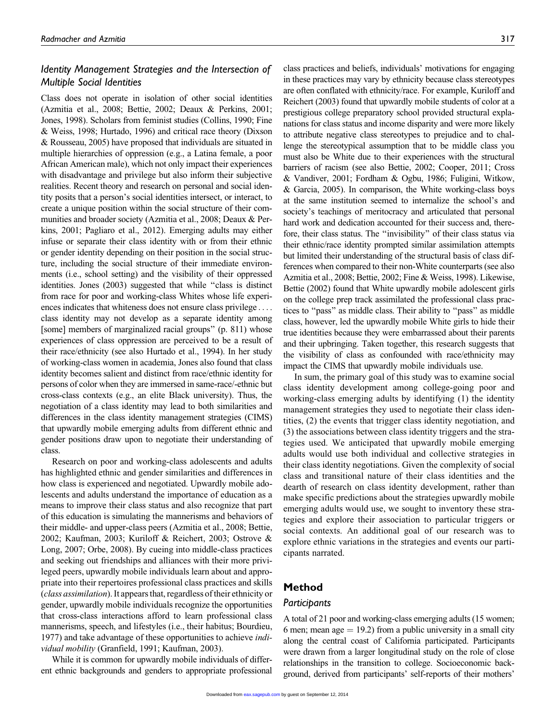# Identity Management Strategies and the Intersection of Multiple Social Identities

Class does not operate in isolation of other social identities (Azmitia et al., 2008; Bettie, 2002; Deaux & Perkins, 2001; Jones, 1998). Scholars from feminist studies (Collins, 1990; Fine & Weiss, 1998; Hurtado, 1996) and critical race theory (Dixson & Rousseau, 2005) have proposed that individuals are situated in multiple hierarchies of oppression (e.g., a Latina female, a poor African American male), which not only impact their experiences with disadvantage and privilege but also inform their subjective realities. Recent theory and research on personal and social identity posits that a person's social identities intersect, or interact, to create a unique position within the social structure of their communities and broader society (Azmitia et al., 2008; Deaux & Perkins, 2001; Pagliaro et al., 2012). Emerging adults may either infuse or separate their class identity with or from their ethnic or gender identity depending on their position in the social structure, including the social structure of their immediate environments (i.e., school setting) and the visibility of their oppressed identities. Jones (2003) suggested that while ''class is distinct from race for poor and working-class Whites whose life experiences indicates that whiteness does not ensure class privilege ... . class identity may not develop as a separate identity among [some] members of marginalized racial groups'' (p. 811) whose experiences of class oppression are perceived to be a result of their race/ethnicity (see also Hurtado et al., 1994). In her study of working-class women in academia, Jones also found that class identity becomes salient and distinct from race/ethnic identity for persons of color when they are immersed in same-race/-ethnic but cross-class contexts (e.g., an elite Black university). Thus, the negotiation of a class identity may lead to both similarities and differences in the class identity management strategies (CIMS) that upwardly mobile emerging adults from different ethnic and gender positions draw upon to negotiate their understanding of class.

Research on poor and working-class adolescents and adults has highlighted ethnic and gender similarities and differences in how class is experienced and negotiated. Upwardly mobile adolescents and adults understand the importance of education as a means to improve their class status and also recognize that part of this education is simulating the mannerisms and behaviors of their middle- and upper-class peers (Azmitia et al., 2008; Bettie, 2002; Kaufman, 2003; Kuriloff & Reichert, 2003; Ostrove & Long, 2007; Orbe, 2008). By cueing into middle-class practices and seeking out friendships and alliances with their more privileged peers, upwardly mobile individuals learn about and appropriate into their repertoires professional class practices and skills (class assimilation). It appears that, regardless of their ethnicity or gender, upwardly mobile individuals recognize the opportunities that cross-class interactions afford to learn professional class mannerisms, speech, and lifestyles (i.e., their habitus; Bourdieu, 1977) and take advantage of these opportunities to achieve individual mobility (Granfield, 1991; Kaufman, 2003).

While it is common for upwardly mobile individuals of different ethnic backgrounds and genders to appropriate professional class practices and beliefs, individuals' motivations for engaging in these practices may vary by ethnicity because class stereotypes are often conflated with ethnicity/race. For example, Kuriloff and Reichert (2003) found that upwardly mobile students of color at a prestigious college preparatory school provided structural explanations for class status and income disparity and were more likely to attribute negative class stereotypes to prejudice and to challenge the stereotypical assumption that to be middle class you must also be White due to their experiences with the structural barriers of racism (see also Bettie, 2002; Cooper, 2011; Cross & Vandiver, 2001; Fordham & Ogbu, 1986; Fuligini, Witkow, & Garcia, 2005). In comparison, the White working-class boys at the same institution seemed to internalize the school's and society's teachings of meritocracy and articulated that personal hard work and dedication accounted for their success and, therefore, their class status. The ''invisibility'' of their class status via their ethnic/race identity prompted similar assimilation attempts but limited their understanding of the structural basis of class differences when compared to their non-White counterparts (see also Azmitia et al., 2008; Bettie, 2002; Fine & Weiss, 1998). Likewise, Bettie (2002) found that White upwardly mobile adolescent girls on the college prep track assimilated the professional class practices to ''pass'' as middle class. Their ability to ''pass'' as middle class, however, led the upwardly mobile White girls to hide their true identities because they were embarrassed about their parents and their upbringing. Taken together, this research suggests that the visibility of class as confounded with race/ethnicity may impact the CIMS that upwardly mobile individuals use.

In sum, the primary goal of this study was to examine social class identity development among college-going poor and working-class emerging adults by identifying (1) the identity management strategies they used to negotiate their class identities, (2) the events that trigger class identity negotiation, and (3) the associations between class identity triggers and the strategies used. We anticipated that upwardly mobile emerging adults would use both individual and collective strategies in their class identity negotiations. Given the complexity of social class and transitional nature of their class identities and the dearth of research on class identity development, rather than make specific predictions about the strategies upwardly mobile emerging adults would use, we sought to inventory these strategies and explore their association to particular triggers or social contexts. An additional goal of our research was to explore ethnic variations in the strategies and events our participants narrated.

## Method

## **Participants**

A total of 21 poor and working-class emerging adults (15 women; 6 men; mean age  $= 19.2$ ) from a public university in a small city along the central coast of California participated. Participants were drawn from a larger longitudinal study on the role of close relationships in the transition to college. Socioeconomic background, derived from participants' self-reports of their mothers'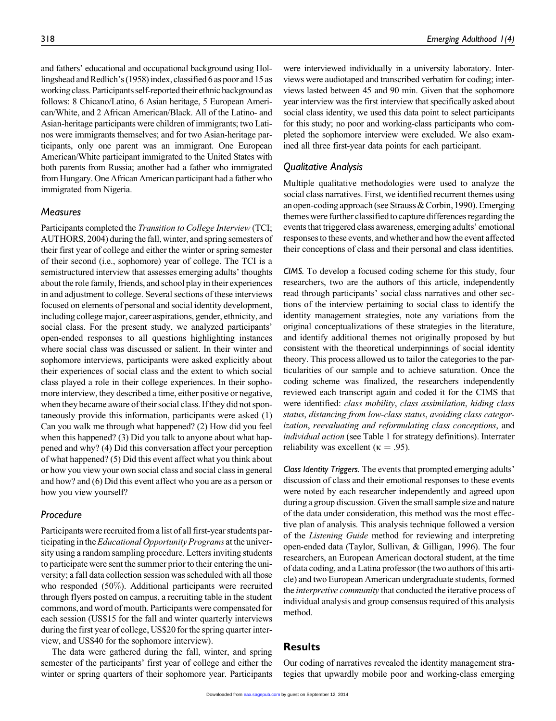and fathers' educational and occupational background using Hollingshead and Redlich's (1958) index, classified 6 as poor and 15 as working class. Participants self-reported their ethnic background as follows: 8 Chicano/Latino, 6 Asian heritage, 5 European American/White, and 2 African American/Black. All of the Latino- and Asian-heritage participants were children of immigrants; two Latinos were immigrants themselves; and for two Asian-heritage participants, only one parent was an immigrant. One European American/White participant immigrated to the United States with both parents from Russia; another had a father who immigrated from Hungary. One African American participant had a father who immigrated from Nigeria.

#### **Measures**

Participants completed the Transition to College Interview (TCI; AUTHORS, 2004) during the fall, winter, and spring semesters of their first year of college and either the winter or spring semester of their second (i.e., sophomore) year of college. The TCI is a semistructured interview that assesses emerging adults' thoughts about the role family, friends, and school play in their experiences in and adjustment to college. Several sections of these interviews focused on elements of personal and social identity development, including college major, career aspirations, gender, ethnicity, and social class. For the present study, we analyzed participants' open-ended responses to all questions highlighting instances where social class was discussed or salient. In their winter and sophomore interviews, participants were asked explicitly about their experiences of social class and the extent to which social class played a role in their college experiences. In their sophomore interview, they described a time, either positive or negative, when they became aware of their social class. If they did not spontaneously provide this information, participants were asked (1) Can you walk me through what happened? (2) How did you feel when this happened? (3) Did you talk to anyone about what happened and why? (4) Did this conversation affect your perception of what happened? (5) Did this event affect what you think about or how you view your own social class and social class in general and how? and (6) Did this event affect who you are as a person or how you view yourself?

## Procedure

Participants were recruited from alist of all first-year students participating in the *Educational Opportunity Programs* at the university using a random sampling procedure. Letters inviting students to participate were sent the summer prior to their entering the university; a fall data collection session was scheduled with all those who responded (50%). Additional participants were recruited through flyers posted on campus, a recruiting table in the student commons, and word of mouth. Participants were compensated for each session (US\$15 for the fall and winter quarterly interviews during the first year of college, US\$20 for the spring quarter interview, and US\$40 for the sophomore interview).

The data were gathered during the fall, winter, and spring semester of the participants' first year of college and either the winter or spring quarters of their sophomore year. Participants

were interviewed individually in a university laboratory. Interviews were audiotaped and transcribed verbatim for coding; interviews lasted between 45 and 90 min. Given that the sophomore year interview was the first interview that specifically asked about social class identity, we used this data point to select participants for this study; no poor and working-class participants who completed the sophomore interview were excluded. We also examined all three first-year data points for each participant.

#### Qualitative Analysis

Multiple qualitative methodologies were used to analyze the social class narratives. First, we identified recurrent themes using an open-coding approach (see Strauss & Corbin, 1990). Emerging themes were further classified to capture differences regarding the events that triggered class awareness, emerging adults' emotional responses to these events, and whether and how the event affected their conceptions of class and their personal and class identities.

CIMS. To develop a focused coding scheme for this study, four researchers, two are the authors of this article, independently read through participants' social class narratives and other sections of the interview pertaining to social class to identify the identity management strategies, note any variations from the original conceptualizations of these strategies in the literature, and identify additional themes not originally proposed by but consistent with the theoretical underpinnings of social identity theory. This process allowed us to tailor the categories to the particularities of our sample and to achieve saturation. Once the coding scheme was finalized, the researchers independently reviewed each transcript again and coded it for the CIMS that were identified: class mobility, class assimilation, hiding class status, distancing from low-class status, avoiding class categorization, reevaluating and reformulating class conceptions, and individual action (see Table 1 for strategy definitions). Interrater reliability was excellent ( $\kappa = .95$ ).

Class Identity Triggers. The events that prompted emerging adults' discussion of class and their emotional responses to these events were noted by each researcher independently and agreed upon during a group discussion. Given the small sample size and nature of the data under consideration, this method was the most effective plan of analysis. This analysis technique followed a version of the Listening Guide method for reviewing and interpreting open-ended data (Taylor, Sullivan, & Gilligan, 1996). The four researchers, an European American doctoral student, at the time of data coding, and a Latina professor (the two authors of this article) and two European American undergraduate students, formed the interpretive community that conducted the iterative process of individual analysis and group consensus required of this analysis method.

## Results

Our coding of narratives revealed the identity management strategies that upwardly mobile poor and working-class emerging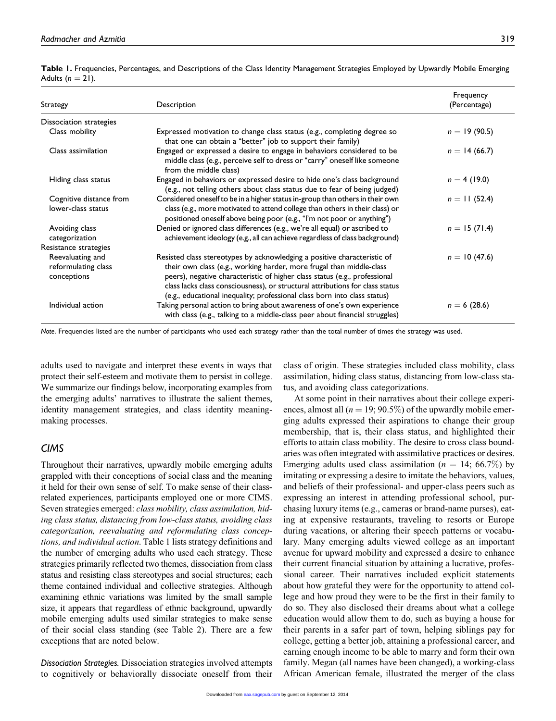| Strategy                                               | Description                                                                                                                                                                                                                                                                                                                                                                                  | Frequency<br>(Percentage) |
|--------------------------------------------------------|----------------------------------------------------------------------------------------------------------------------------------------------------------------------------------------------------------------------------------------------------------------------------------------------------------------------------------------------------------------------------------------------|---------------------------|
| Dissociation strategies                                |                                                                                                                                                                                                                                                                                                                                                                                              |                           |
| Class mobility                                         | Expressed motivation to change class status (e.g., completing degree so<br>that one can obtain a "better" job to support their family)                                                                                                                                                                                                                                                       | $n = 19(90.5)$            |
| Class assimilation                                     | Engaged or expressed a desire to engage in behaviors considered to be<br>middle class (e.g., perceive self to dress or "carry" oneself like someone<br>from the middle class)                                                                                                                                                                                                                | $n = 14(66.7)$            |
| Hiding class status                                    | Engaged in behaviors or expressed desire to hide one's class background<br>(e.g., not telling others about class status due to fear of being judged)                                                                                                                                                                                                                                         | $n = 4(19.0)$             |
| Cognitive distance from<br>lower-class status          | Considered oneself to be in a higher status in-group than others in their own<br>class (e.g., more motivated to attend college than others in their class) or<br>positioned oneself above being poor (e.g., "I'm not poor or anything")                                                                                                                                                      | $n = 11(52.4)$            |
| Avoiding class<br>categorization                       | Denied or ignored class differences (e.g., we're all equal) or ascribed to<br>achievement ideology (e.g., all can achieve regardless of class background)                                                                                                                                                                                                                                    | $n = 15(71.4)$            |
| Resistance strategies                                  |                                                                                                                                                                                                                                                                                                                                                                                              |                           |
| Reevaluating and<br>reformulating class<br>conceptions | Resisted class stereotypes by acknowledging a positive characteristic of<br>their own class (e.g., working harder, more frugal than middle-class<br>peers), negative characteristic of higher class status (e.g., professional<br>class lacks class consciousness), or structural attributions for class status<br>(e.g., educational inequality; professional class born into class status) | $n = 10(47.6)$            |
| Individual action                                      | Taking personal action to bring about awareness of one's own experience<br>with class (e.g., talking to a middle-class peer about financial struggles)                                                                                                                                                                                                                                       | $n = 6(28.6)$             |

Table 1. Frequencies, Percentages, and Descriptions of the Class Identity Management Strategies Employed by Upwardly Mobile Emerging Adults  $(n = 21)$ .

Note. Frequencies listed are the number of participants who used each strategy rather than the total number of times the strategy was used.

adults used to navigate and interpret these events in ways that protect their self-esteem and motivate them to persist in college. We summarize our findings below, incorporating examples from the emerging adults' narratives to illustrate the salient themes, identity management strategies, and class identity meaningmaking processes.

# CIMS

Throughout their narratives, upwardly mobile emerging adults grappled with their conceptions of social class and the meaning it held for their own sense of self. To make sense of their classrelated experiences, participants employed one or more CIMS. Seven strategies emerged: class mobility, class assimilation, hiding class status, distancing from low-class status, avoiding class categorization, reevaluating and reformulating class conceptions, and individual action. Table 1 lists strategy definitions and the number of emerging adults who used each strategy. These strategies primarily reflected two themes, dissociation from class status and resisting class stereotypes and social structures; each theme contained individual and collective strategies. Although examining ethnic variations was limited by the small sample size, it appears that regardless of ethnic background, upwardly mobile emerging adults used similar strategies to make sense of their social class standing (see Table 2). There are a few exceptions that are noted below.

Dissociation Strategies. Dissociation strategies involved attempts to cognitively or behaviorally dissociate oneself from their class of origin. These strategies included class mobility, class assimilation, hiding class status, distancing from low-class status, and avoiding class categorizations.

At some point in their narratives about their college experiences, almost all ( $n = 19$ ; 90.5%) of the upwardly mobile emerging adults expressed their aspirations to change their group membership, that is, their class status, and highlighted their efforts to attain class mobility. The desire to cross class boundaries was often integrated with assimilative practices or desires. Emerging adults used class assimilation ( $n = 14$ ; 66.7%) by imitating or expressing a desire to imitate the behaviors, values, and beliefs of their professional- and upper-class peers such as expressing an interest in attending professional school, purchasing luxury items (e.g., cameras or brand-name purses), eating at expensive restaurants, traveling to resorts or Europe during vacations, or altering their speech patterns or vocabulary. Many emerging adults viewed college as an important avenue for upward mobility and expressed a desire to enhance their current financial situation by attaining a lucrative, professional career. Their narratives included explicit statements about how grateful they were for the opportunity to attend college and how proud they were to be the first in their family to do so. They also disclosed their dreams about what a college education would allow them to do, such as buying a house for their parents in a safer part of town, helping siblings pay for college, getting a better job, attaining a professional career, and earning enough income to be able to marry and form their own family. Megan (all names have been changed), a working-class African American female, illustrated the merger of the class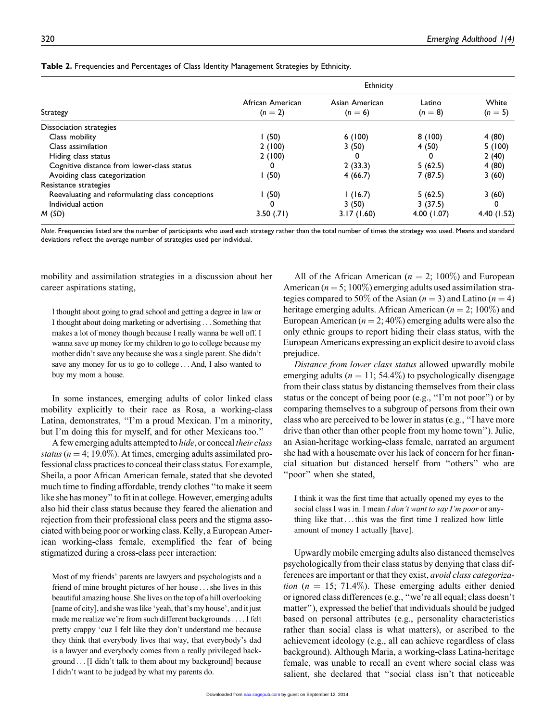|                                                  | Ethnicity                     |                             |                     |                    |
|--------------------------------------------------|-------------------------------|-----------------------------|---------------------|--------------------|
| Strategy                                         | African American<br>$(n = 2)$ | Asian American<br>$(n = 6)$ | Latino<br>$(n = 8)$ | White<br>$(n = 5)$ |
| Dissociation strategies                          |                               |                             |                     |                    |
| Class mobility                                   | (50)                          | 6(100)                      | 8(100)              | 4(80)              |
| Class assimilation                               | 2(100)                        | 3(50)                       | 4(50)               | 5(100)             |
| Hiding class status                              | 2(100)                        |                             |                     | 2(40)              |
| Cognitive distance from lower-class status       | 0                             | 2(33.3)                     | 5(62.5)             | 4(80)              |
| Avoiding class categorization                    | (50)                          | 4(66.7)                     | 7 (87.5)            | 3(60)              |
| Resistance strategies                            |                               |                             |                     |                    |
| Reevaluating and reformulating class conceptions | (50)                          | 1(16.7)                     | 5(62.5)             | 3(60)              |
| Individual action                                | 0                             | 3(50)                       | 3(37.5)             |                    |
| M (SD)                                           | 3.50(71)                      | 3.17(1.60)                  | 4.00(1.07)          | 4.40 (1.52)        |

Table 2. Frequencies and Percentages of Class Identity Management Strategies by Ethnicity.

Note. Frequencies listed are the number of participants who used each strategy rather than the total number of times the strategy was used. Means and standard deviations reflect the average number of strategies used per individual.

mobility and assimilation strategies in a discussion about her career aspirations stating,

I thought about going to grad school and getting a degree in law or I thought about doing marketing or advertising ... Something that makes a lot of money though because I really wanna be well off. I wanna save up money for my children to go to college because my mother didn't save any because she was a single parent. She didn't save any money for us to go to college ... And, I also wanted to buy my mom a house.

In some instances, emerging adults of color linked class mobility explicitly to their race as Rosa, a working-class Latina, demonstrates, "I'm a proud Mexican. I'm a minority, but I'm doing this for myself, and for other Mexicans too.''

A few emerging adults attempted to hide, or conceal their class status ( $n = 4$ ; 19.0%). At times, emerging adults assimilated professional class practices to conceal their class status. For example, Sheila, a poor African American female, stated that she devoted much time to finding affordable, trendy clothes ''to make it seem like she has money'' to fit in at college. However, emerging adults also hid their class status because they feared the alienation and rejection from their professional class peers and the stigma associated with being poor or working class. Kelly, a European American working-class female, exemplified the fear of being stigmatized during a cross-class peer interaction:

Most of my friends' parents are lawyers and psychologists and a friend of mine brought pictures of her house ...she lives in this beautiful amazing house. She lives on the top of a hill overlooking [name of city], and she was like 'yeah, that's my house', and it just made me realize we're from such different backgrounds... . I felt pretty crappy 'cuz I felt like they don't understand me because they think that everybody lives that way, that everybody's dad is a lawyer and everybody comes from a really privileged background ... [I didn't talk to them about my background] because I didn't want to be judged by what my parents do.

All of the African American ( $n = 2$ ; 100%) and European American ( $n = 5$ ; 100%) emerging adults used assimilation strategies compared to 50% of the Asian ( $n = 3$ ) and Latino ( $n = 4$ ) heritage emerging adults. African American ( $n = 2$ ; 100%) and European American ( $n = 2$ ; 40%) emerging adults were also the only ethnic groups to report hiding their class status, with the European Americans expressing an explicit desire to avoid class prejudice.

Distance from lower class status allowed upwardly mobile emerging adults ( $n = 11$ ; 54.4%) to psychologically disengage from their class status by distancing themselves from their class status or the concept of being poor (e.g., ''I'm not poor'') or by comparing themselves to a subgroup of persons from their own class who are perceived to be lower in status (e.g., ''I have more drive than other than other people from my home town''). Julie, an Asian-heritage working-class female, narrated an argument she had with a housemate over his lack of concern for her financial situation but distanced herself from ''others'' who are "poor" when she stated,

I think it was the first time that actually opened my eyes to the social class I was in. I mean I don't want to say I'm poor or anything like that ... this was the first time I realized how little amount of money I actually [have].

Upwardly mobile emerging adults also distanced themselves psychologically from their class status by denying that class differences are important or that they exist, avoid class categorization ( $n = 15$ ; 71.4%). These emerging adults either denied or ignored class differences (e.g., ''we're all equal; class doesn't matter''), expressed the belief that individuals should be judged based on personal attributes (e.g., personality characteristics rather than social class is what matters), or ascribed to the achievement ideology (e.g., all can achieve regardless of class background). Although Maria, a working-class Latina-heritage female, was unable to recall an event where social class was salient, she declared that ''social class isn't that noticeable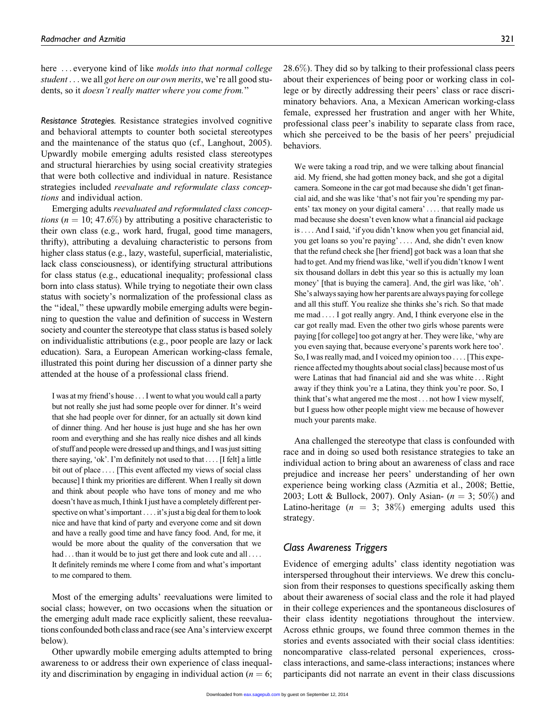here ... everyone kind of like *molds into that normal college* student . . . we all got here on our own merits, we're all good students, so it doesn't really matter where you come from.''

Resistance Strategies. Resistance strategies involved cognitive and behavioral attempts to counter both societal stereotypes and the maintenance of the status quo (cf., Langhout, 2005). Upwardly mobile emerging adults resisted class stereotypes and structural hierarchies by using social creativity strategies that were both collective and individual in nature. Resistance strategies included reevaluate and reformulate class conceptions and individual action.

Emerging adults reevaluated and reformulated class concep*tions* ( $n = 10$ ; 47.6%) by attributing a positive characteristic to their own class (e.g., work hard, frugal, good time managers, thrifty), attributing a devaluing characteristic to persons from higher class status (e.g., lazy, wasteful, superficial, materialistic, lack class consciousness), or identifying structural attributions for class status (e.g., educational inequality; professional class born into class status). While trying to negotiate their own class status with society's normalization of the professional class as the ''ideal,'' these upwardly mobile emerging adults were beginning to question the value and definition of success in Western society and counter the stereotype that class status is based solely on individualistic attributions (e.g., poor people are lazy or lack education). Sara, a European American working-class female, illustrated this point during her discussion of a dinner party she attended at the house of a professional class friend.

I was at my friend's house ...I went to what you would call a party but not really she just had some people over for dinner. It's weird that she had people over for dinner, for an actually sit down kind of dinner thing. And her house is just huge and she has her own room and everything and she has really nice dishes and all kinds of stuff and people were dressed up and things, and I was just sitting there saying, 'ok'. I'm definitely not used to that ... . [I felt] a little bit out of place ... . [This event affected my views of social class because] I think my priorities are different. When I really sit down and think about people who have tons of money and me who doesn't have as much, I think I just have a completely different perspective on what's important . . . . it's just a big deal for them to look nice and have that kind of party and everyone come and sit down and have a really good time and have fancy food. And, for me, it would be more about the quality of the conversation that we had ... than it would be to just get there and look cute and all .... It definitely reminds me where I come from and what's important to me compared to them.

Most of the emerging adults' reevaluations were limited to social class; however, on two occasions when the situation or the emerging adult made race explicitly salient, these reevaluations confounded both class and race (see Ana's interview excerpt below).

Other upwardly mobile emerging adults attempted to bring awareness to or address their own experience of class inequality and discrimination by engaging in individual action ( $n = 6$ ;

28.6%). They did so by talking to their professional class peers about their experiences of being poor or working class in college or by directly addressing their peers' class or race discriminatory behaviors. Ana, a Mexican American working-class female, expressed her frustration and anger with her White, professional class peer's inability to separate class from race, which she perceived to be the basis of her peers' prejudicial behaviors.

We were taking a road trip, and we were talking about financial aid. My friend, she had gotten money back, and she got a digital camera. Someone in the car got mad because she didn't get financial aid, and she was like 'that's not fair you're spending my parents' tax money on your digital camera'... . that really made us mad because she doesn't even know what a financial aid package is... . And I said, 'if you didn't know when you get financial aid, you get loans so you're paying'... . And, she didn't even know that the refund check she [her friend] got back was a loan that she had to get. And my friend was like, 'well if you didn't know I went six thousand dollars in debt this year so this is actually my loan money' [that is buying the camera]. And, the girl was like, 'oh'. She's always saying how her parents are always paying for college and all this stuff. You realize she thinks she's rich. So that made me mad ... . I got really angry. And, I think everyone else in the car got really mad. Even the other two girls whose parents were paying [for college] too got angry at her. They were like, 'why are you even saying that, because everyone's parents work here too'. So, I was really mad, and I voiced my opinion too ... . [This experience affected my thoughts about social class] because most of us were Latinas that had financial aid and she was white ...Right away if they think you're a Latina, they think you're poor. So, I think that's what angered me the most ... not how I view myself, but I guess how other people might view me because of however much your parents make.

Ana challenged the stereotype that class is confounded with race and in doing so used both resistance strategies to take an individual action to bring about an awareness of class and race prejudice and increase her peers' understanding of her own experience being working class (Azmitia et al., 2008; Bettie, 2003; Lott & Bullock, 2007). Only Asian-  $(n = 3; 50\%)$  and Latino-heritage ( $n = 3$ ; 38%) emerging adults used this strategy.

#### Class Awareness Triggers

Evidence of emerging adults' class identity negotiation was interspersed throughout their interviews. We drew this conclusion from their responses to questions specifically asking them about their awareness of social class and the role it had played in their college experiences and the spontaneous disclosures of their class identity negotiations throughout the interview. Across ethnic groups, we found three common themes in the stories and events associated with their social class identities: noncomparative class-related personal experiences, crossclass interactions, and same-class interactions; instances where participants did not narrate an event in their class discussions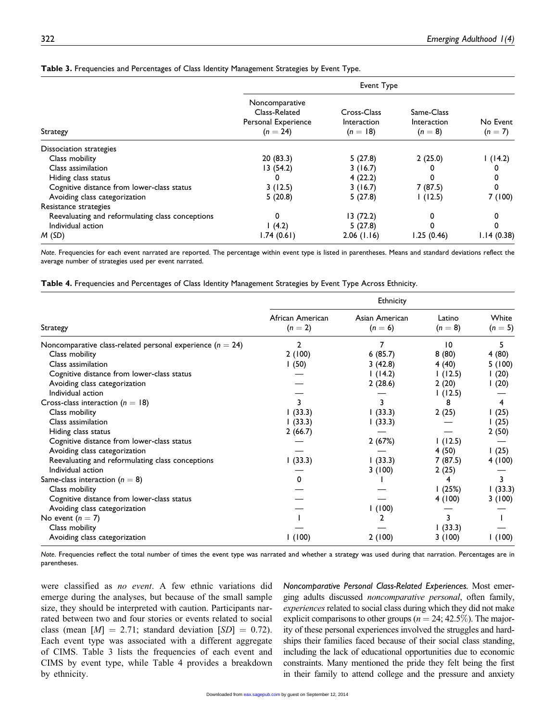|                                                  | Event Type                                                           |                                          |                                        |                       |
|--------------------------------------------------|----------------------------------------------------------------------|------------------------------------------|----------------------------------------|-----------------------|
| Strategy                                         | Noncomparative<br>Class-Related<br>Personal Experience<br>$(n = 24)$ | Cross-Class<br>Interaction<br>$(n = 18)$ | Same-Class<br>Interaction<br>$(n = 8)$ | No Event<br>$(n = 7)$ |
| Dissociation strategies                          |                                                                      |                                          |                                        |                       |
| Class mobility                                   | 20(83.3)                                                             | 5(27.8)                                  | 2(25.0)                                | 1(14.2)               |
| Class assimilation                               | 13(54.2)                                                             | 3(16.7)                                  |                                        |                       |
| Hiding class status                              |                                                                      | 4(22.2)                                  | 0                                      | 0                     |
| Cognitive distance from lower-class status       | 3(12.5)                                                              | 3(16.7)                                  | 7(87.5)                                | 0                     |
| Avoiding class categorization                    | 5(20.8)                                                              | 5(27.8)                                  | 1(12.5)                                | 7 (100)               |
| Resistance strategies                            |                                                                      |                                          |                                        |                       |
| Reevaluating and reformulating class conceptions |                                                                      | 13 (72.2)                                |                                        | 0                     |
| Individual action                                | 1(4.2)                                                               | 5(27.8)                                  |                                        |                       |
| M(SD)                                            | l.74 (0.61)                                                          | $2.06$ (1.16)                            | 1.25(0.46)                             | 1.14(0.38)            |

Table 3. Frequencies and Percentages of Class Identity Management Strategies by Event Type.

Note. Frequencies for each event narrated are reported. The percentage within event type is listed in parentheses. Means and standard deviations reflect the average number of strategies used per event narrated.

| Table 4. Frequencies and Percentages of Class Identity Management Strategies by Event Type Across Ethnicity. |
|--------------------------------------------------------------------------------------------------------------|
|--------------------------------------------------------------------------------------------------------------|

|                                                               | Ethnicity                     |                             |                     |                    |
|---------------------------------------------------------------|-------------------------------|-----------------------------|---------------------|--------------------|
| Strategy                                                      | African American<br>$(n = 2)$ | Asian American<br>$(n = 6)$ | Latino<br>$(n = 8)$ | White<br>$(n = 5)$ |
| Noncomparative class-related personal experience ( $n = 24$ ) | $\mathbf{2}$                  |                             | 10                  | 5                  |
| Class mobility                                                | 2(100)                        | 6(85.7)                     | 8(80)               | 4 (80)             |
| Class assimilation                                            | 1(50)                         | 3(42.8)                     | 4 (40)              | 5(100)             |
| Cognitive distance from lower-class status                    |                               | 1(14.2)                     | 1(12.5)             | (20)               |
| Avoiding class categorization                                 |                               | 2(28.6)                     | 2(20)               | (20)               |
| Individual action                                             |                               |                             | 1(12.5)             |                    |
| Cross-class interaction ( $n = 18$ )                          | 3.                            | 3                           | 8                   | 4                  |
| Class mobility                                                | (33.3)                        | (33.3)                      | 2(25)               | 1(25)              |
| Class assimilation                                            | (33.3)                        | (33.3)                      |                     | 1(25)              |
| Hiding class status                                           | 2(66.7)                       |                             |                     | 2(50)              |
| Cognitive distance from lower-class status                    |                               | 2(67%)                      | 1(12.5)             |                    |
| Avoiding class categorization                                 |                               |                             | 4 (50)              | 1(25)              |
| Reevaluating and reformulating class conceptions              | (33.3)                        | (33.3)                      | 7(87.5)             | 4 (100)            |
| Individual action                                             |                               | 3(100)                      | 2(25)               |                    |
| Same-class interaction ( $n = 8$ )                            | 0                             |                             | 4                   | 3                  |
| Class mobility                                                |                               |                             | (25%)               | 1(33.3)            |
| Cognitive distance from lower-class status                    |                               |                             | 4 (100)             | 3(100)             |
| Avoiding class categorization                                 |                               | 1(100)                      |                     |                    |
| No event $(n = 7)$                                            |                               |                             | 3                   |                    |
| Class mobility                                                |                               |                             | (33.3)              |                    |
| Avoiding class categorization                                 | l (100)                       | 2(100)                      | 3(100)              | I (100)            |

Note. Frequencies reflect the total number of times the event type was narrated and whether a strategy was used during that narration. Percentages are in parentheses.

were classified as no event. A few ethnic variations did emerge during the analyses, but because of the small sample size, they should be interpreted with caution. Participants narrated between two and four stories or events related to social class (mean  $[M] = 2.71$ ; standard deviation  $[SD] = 0.72$ ). Each event type was associated with a different aggregate of CIMS. Table 3 lists the frequencies of each event and CIMS by event type, while Table 4 provides a breakdown by ethnicity.

Noncomparative Personal Class-Related Experiences. Most emerging adults discussed noncomparative personal, often family, experiences related to social class during which they did not make explicit comparisons to other groups ( $n = 24$ ; 42.5%). The majority of these personal experiences involved the struggles and hardships their families faced because of their social class standing, including the lack of educational opportunities due to economic constraints. Many mentioned the pride they felt being the first in their family to attend college and the pressure and anxiety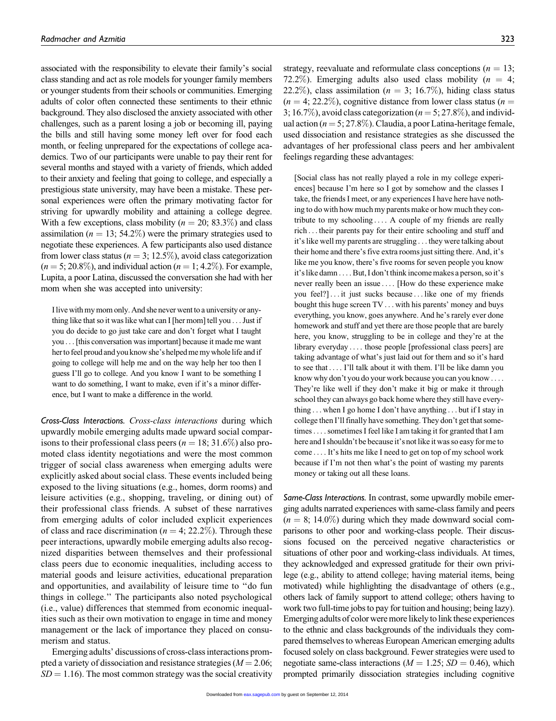associated with the responsibility to elevate their family's social class standing and act as role models for younger family members or younger students from their schools or communities. Emerging adults of color often connected these sentiments to their ethnic background. They also disclosed the anxiety associated with other challenges, such as a parent losing a job or becoming ill, paying the bills and still having some money left over for food each month, or feeling unprepared for the expectations of college academics. Two of our participants were unable to pay their rent for several months and stayed with a variety of friends, which added to their anxiety and feeling that going to college, and especially a prestigious state university, may have been a mistake. These personal experiences were often the primary motivating factor for striving for upwardly mobility and attaining a college degree. With a few exceptions, class mobility ( $n = 20$ ; 83.3%) and class assimilation ( $n = 13$ ; 54.2%) were the primary strategies used to negotiate these experiences. A few participants also used distance from lower class status ( $n = 3$ ; 12.5%), avoid class categorization  $(n = 5; 20.8\%)$ , and individual action  $(n = 1; 4.2\%)$ . For example, Lupita, a poor Latina, discussed the conversation she had with her mom when she was accepted into university:

I live with my mom only. And she never went to a university or anything like that so it was like what can I [her mom] tell you ...Just if you do decide to go just take care and don't forget what I taught you ...[this conversation was important] because it made me want her to feel proud and you know she's helped me my whole life and if going to college will help me and on the way help her too then I guess I'll go to college. And you know I want to be something I want to do something, I want to make, even if it's a minor difference, but I want to make a difference in the world.

Cross-Class Interactions. Cross-class interactions during which upwardly mobile emerging adults made upward social comparisons to their professional class peers ( $n = 18$ ; 31.6%) also promoted class identity negotiations and were the most common trigger of social class awareness when emerging adults were explicitly asked about social class. These events included being exposed to the living situations (e.g., homes, dorm rooms) and leisure activities (e.g., shopping, traveling, or dining out) of their professional class friends. A subset of these narratives from emerging adults of color included explicit experiences of class and race discrimination ( $n = 4$ ; 22.2%). Through these peer interactions, upwardly mobile emerging adults also recognized disparities between themselves and their professional class peers due to economic inequalities, including access to material goods and leisure activities, educational preparation and opportunities, and availability of leisure time to ''do fun things in college.'' The participants also noted psychological (i.e., value) differences that stemmed from economic inequalities such as their own motivation to engage in time and money management or the lack of importance they placed on consumerism and status.

Emerging adults' discussions of cross-class interactions prompted a variety of dissociation and resistance strategies  $(M = 2.06;$  $SD = 1.16$ ). The most common strategy was the social creativity strategy, reevaluate and reformulate class conceptions ( $n = 13$ ; 72.2%). Emerging adults also used class mobility ( $n = 4$ ; 22.2%), class assimilation ( $n = 3$ ; 16.7%), hiding class status  $(n = 4; 22.2\%)$ , cognitive distance from lower class status  $(n = 4)$ 3; 16.7%), avoid class categorization ( $n = 5$ ; 27.8%), and individual action ( $n = 5$ ; 27.8%). Claudia, a poor Latina-heritage female, used dissociation and resistance strategies as she discussed the advantages of her professional class peers and her ambivalent feelings regarding these advantages:

[Social class has not really played a role in my college experiences] because I'm here so I got by somehow and the classes I take, the friends I meet, or any experiences I have here have nothing to do with how much my parents make or how much they contribute to my schooling ... . A couple of my friends are really rich ... their parents pay for their entire schooling and stuff and it's like well my parents are struggling ... they were talking about their home and there's five extra rooms just sitting there. And, it's like me you know, there's five rooms for seven people you know it'slike damn ... . But, I don't think income makes a person, soit's never really been an issue ... . [How do these experience make you feel?]... it just sucks because ... like one of my friends bought this huge screen TV ... with his parents' money and buys everything, you know, goes anywhere. And he's rarely ever done homework and stuff and yet there are those people that are barely here, you know, struggling to be in college and they're at the library everyday ... . those people [professional class peers] are taking advantage of what's just laid out for them and so it's hard to see that ... . I'll talk about it with them. I'll be like damn you know why don't you do your work because you can you know ... . They're like well if they don't make it big or make it through school they can always go back home where they still have everything ... when I go home I don't have anything ... but if I stay in college then I'll finally have something. They don't get that sometimes... . sometimes I feel like I am taking it for granted that I am here and I shouldn't be because it's not like it was so easy for me to come ... . It's hits me like I need to get on top of my school work because if I'm not then what's the point of wasting my parents money or taking out all these loans.

Same-Class Interactions. In contrast, some upwardly mobile emerging adults narrated experiences with same-class family and peers  $(n = 8; 14.0\%)$  during which they made downward social comparisons to other poor and working-class people. Their discussions focused on the perceived negative characteristics or situations of other poor and working-class individuals. At times, they acknowledged and expressed gratitude for their own privilege (e.g., ability to attend college; having material items, being motivated) while highlighting the disadvantage of others (e.g., others lack of family support to attend college; others having to work two full-time jobs to pay for tuition and housing; being lazy). Emerging adults of color were more likely to link these experiences to the ethnic and class backgrounds of the individuals they compared themselves to whereas European American emerging adults focused solely on class background. Fewer strategies were used to negotiate same-class interactions ( $M = 1.25$ ;  $SD = 0.46$ ), which prompted primarily dissociation strategies including cognitive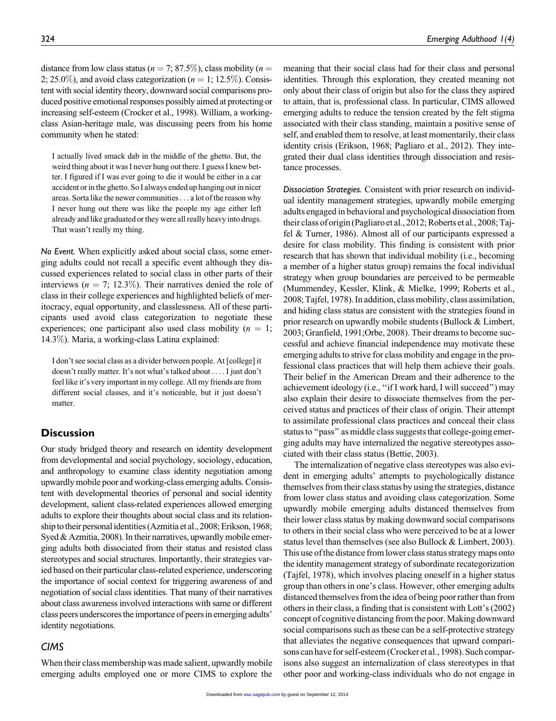distance from low class status ( $n = 7$ ; 87.5%), class mobility ( $n =$ 2; 25.0%), and avoid class categorization ( $n = 1$ ; 12.5%). Consistent with social identity theory, downward social comparisons produced positive emotional responses possibly aimed at protecting or increasing self-esteem (Crocker et al., 1998). William, a workingclass Asian-heritage male, was discussing peers from his home community when he stated:

I actually lived smack dab in the middle of the ghetto. But, the weird thing about it was I never hung out there. I guess I knew better. I figured if I was ever going to die it would be either in a car accident or in the ghetto. So I always ended up hanging out in nicer areas. Sorta like the newer communities... a lot of the reason why I never hung out there was like the people my age either left already and like graduated or they were all really heavy into drugs. That wasn't really my thing.

No Event. When explicitly asked about social class, some emerging adults could not recall a specific event although they discussed experiences related to social class in other parts of their interviews ( $n = 7$ ; 12.3%). Their narratives denied the role of class in their college experiences and highlighted beliefs of meritocracy, equal opportunity, and classlessness. All of these participants used avoid class categorization to negotiate these experiences; one participant also used class mobility  $(n = 1;$ 14.3%). Maria, a working-class Latina explained:

I don't see social class as a divider between people. At [college] it doesn't really matter. It's not what's talked about ... . I just don't feel like it's very important in my college. All my friends are from different social classes, and it's noticeable, but it just doesn't matter.

## **Discussion**

Our study bridged theory and research on identity development from developmental and social psychology, sociology, education, and anthropology to examine class identity negotiation among upwardly mobile poor and working-class emerging adults. Consistent with developmental theories of personal and social identity development, salient class-related experiences allowed emerging adults to explore their thoughts about social class and its relationship to their personal identities (Azmitia et al., 2008; Erikson, 1968; Syed & Azmitia, 2008). In their narratives, upwardly mobile emerging adults both dissociated from their status and resisted class stereotypes and social structures. Importantly, their strategies varied based on their particular class-related experience, underscoring the importance of social context for triggering awareness of and negotiation of social class identities. That many of their narratives about class awareness involved interactions with same or different class peers underscores the importance of peers in emerging adults' identity negotiations.

### CIMS

When their class membership was made salient, upwardly mobile emerging adults employed one or more CIMS to explore the meaning that their social class had for their class and personal identities. Through this exploration, they created meaning not only about their class of origin but also for the class they aspired to attain, that is, professional class. In particular, CIMS allowed emerging adults to reduce the tension created by the felt stigma associated with their class standing, maintain a positive sense of self, and enabled them to resolve, at least momentarily, their class identity crisis (Erikson, 1968; Pagliaro et al., 2012). They integrated their dual class identities through dissociation and resistance processes.

Dissociation Strategies. Consistent with prior research on individual identity management strategies, upwardly mobile emerging adults engaged in behavioral and psychological dissociation from their class of origin (Pagliaro et al., 2012; Roberts et al., 2008; Tajfel & Turner, 1986). Almost all of our participants expressed a desire for class mobility. This finding is consistent with prior research that has shown that individual mobility (i.e., becoming a member of a higher status group) remains the focal individual strategy when group boundaries are perceived to be permeable (Mummendey, Kessler, Klink, & Mielke, 1999; Roberts et al., 2008; Tajfel, 1978). In addition, class mobility, class assimilation, and hiding class status are consistent with the strategies found in prior research on upwardly mobile students (Bullock & Limbert, 2003; Granfield, 1991;Orbe, 2008). Their dreams to become successful and achieve financial independence may motivate these emerging adults to strive for class mobility and engage in the professional class practices that will help them achieve their goals. Their belief in the American Dream and their adherence to the achievement ideology (i.e., ''if I work hard, I will succeed'') may also explain their desire to dissociate themselves from the perceived status and practices of their class of origin. Their attempt to assimilate professional class practices and conceal their class status to ''pass'' as middle class suggests that college-going emerging adults may have internalized the negative stereotypes associated with their class status (Bettie, 2003).

The internalization of negative class stereotypes was also evident in emerging adults' attempts to psychologically distance themselves from their class status by using the strategies, distance from lower class status and avoiding class categorization. Some upwardly mobile emerging adults distanced themselves from their lower class status by making downward social comparisons to others in their social class who were perceived to be at a lower status level than themselves (see also Bullock & Limbert, 2003). This use of the distance from lower class status strategy maps onto the identity management strategy of subordinate recategorization (Tajfel, 1978), which involves placing oneself in a higher status group than others in one's class. However, other emerging adults distanced themselves from the idea of being poor rather than from others in their class, a finding that is consistent with Lott's (2002) concept of cognitive distancing from the poor. Making downward social comparisons such as these can be a self-protective strategy that alleviates the negative consequences that upward comparisons can have for self-esteem (Crocker et al., 1998). Such comparisons also suggest an internalization of class stereotypes in that other poor and working-class individuals who do not engage in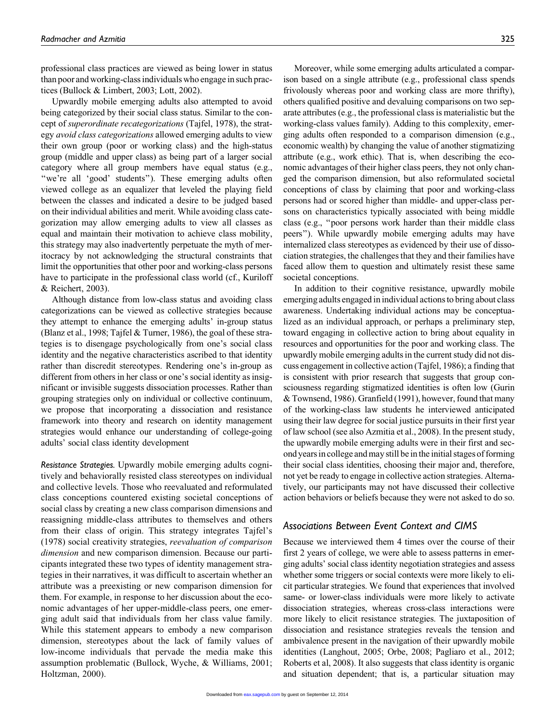professional class practices are viewed as being lower in status than poor and working-class individuals who engage in such practices (Bullock & Limbert, 2003; Lott, 2002).

Upwardly mobile emerging adults also attempted to avoid being categorized by their social class status. Similar to the concept of superordinate recategorizations (Tajfel, 1978), the strategy avoid class categorizations allowed emerging adults to view their own group (poor or working class) and the high-status group (middle and upper class) as being part of a larger social category where all group members have equal status (e.g., "we're all 'good' students"). These emerging adults often viewed college as an equalizer that leveled the playing field between the classes and indicated a desire to be judged based on their individual abilities and merit. While avoiding class categorization may allow emerging adults to view all classes as equal and maintain their motivation to achieve class mobility, this strategy may also inadvertently perpetuate the myth of meritocracy by not acknowledging the structural constraints that limit the opportunities that other poor and working-class persons have to participate in the professional class world (cf., Kuriloff & Reichert, 2003).

Although distance from low-class status and avoiding class categorizations can be viewed as collective strategies because they attempt to enhance the emerging adults' in-group status (Blanz et al., 1998; Tajfel & Turner, 1986), the goal of these strategies is to disengage psychologically from one's social class identity and the negative characteristics ascribed to that identity rather than discredit stereotypes. Rendering one's in-group as different from others in her class or one's social identity as insignificant or invisible suggests dissociation processes. Rather than grouping strategies only on individual or collective continuum, we propose that incorporating a dissociation and resistance framework into theory and research on identity management strategies would enhance our understanding of college-going adults' social class identity development

Resistance Strategies. Upwardly mobile emerging adults cognitively and behaviorally resisted class stereotypes on individual and collective levels. Those who reevaluated and reformulated class conceptions countered existing societal conceptions of social class by creating a new class comparison dimensions and reassigning middle-class attributes to themselves and others from their class of origin. This strategy integrates Tajfel's (1978) social creativity strategies, reevaluation of comparison dimension and new comparison dimension. Because our participants integrated these two types of identity management strategies in their narratives, it was difficult to ascertain whether an attribute was a preexisting or new comparison dimension for them. For example, in response to her discussion about the economic advantages of her upper-middle-class peers, one emerging adult said that individuals from her class value family. While this statement appears to embody a new comparison dimension, stereotypes about the lack of family values of low-income individuals that pervade the media make this assumption problematic (Bullock, Wyche, & Williams, 2001; Holtzman, 2000).

Moreover, while some emerging adults articulated a comparison based on a single attribute (e.g., professional class spends frivolously whereas poor and working class are more thrifty), others qualified positive and devaluing comparisons on two separate attributes (e.g., the professional class is materialistic but the working-class values family). Adding to this complexity, emerging adults often responded to a comparison dimension (e.g., economic wealth) by changing the value of another stigmatizing attribute (e.g., work ethic). That is, when describing the economic advantages of their higher class peers, they not only changed the comparison dimension, but also reformulated societal conceptions of class by claiming that poor and working-class persons had or scored higher than middle- and upper-class persons on characteristics typically associated with being middle class (e.g., ''poor persons work harder than their middle class peers''). While upwardly mobile emerging adults may have internalized class stereotypes as evidenced by their use of dissociation strategies, the challenges that they and their families have faced allow them to question and ultimately resist these same societal conceptions.

In addition to their cognitive resistance, upwardly mobile emerging adults engaged in individual actions to bring about class awareness. Undertaking individual actions may be conceptualized as an individual approach, or perhaps a preliminary step, toward engaging in collective action to bring about equality in resources and opportunities for the poor and working class. The upwardly mobile emerging adults in the current study did not discuss engagement in collective action (Tajfel, 1986); a finding that is consistent with prior research that suggests that group consciousness regarding stigmatized identities is often low (Gurin & Townsend, 1986). Granfield (1991), however, found that many of the working-class law students he interviewed anticipated using their law degree for social justice pursuits in their first year of law school (see also Azmitia et al., 2008). In the present study, the upwardly mobile emerging adults were in their first and second years in college and may still be in the initial stages of forming their social class identities, choosing their major and, therefore, not yet be ready to engage in collective action strategies. Alternatively, our participants may not have discussed their collective action behaviors or beliefs because they were not asked to do so.

## Associations Between Event Context and CIMS

Because we interviewed them 4 times over the course of their first 2 years of college, we were able to assess patterns in emerging adults' social class identity negotiation strategies and assess whether some triggers or social contexts were more likely to elicit particular strategies. We found that experiences that involved same- or lower-class individuals were more likely to activate dissociation strategies, whereas cross-class interactions were more likely to elicit resistance strategies. The juxtaposition of dissociation and resistance strategies reveals the tension and ambivalence present in the navigation of their upwardly mobile identities (Langhout, 2005; Orbe, 2008; Pagliaro et al., 2012; Roberts et al, 2008). It also suggests that class identity is organic and situation dependent; that is, a particular situation may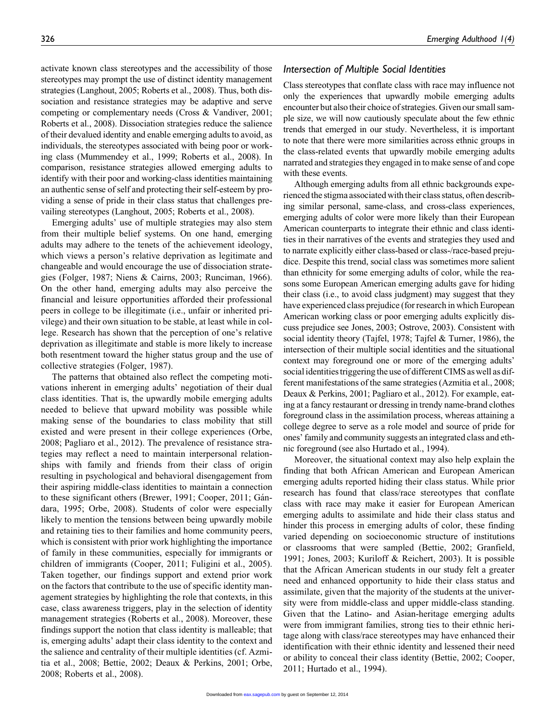activate known class stereotypes and the accessibility of those stereotypes may prompt the use of distinct identity management strategies (Langhout, 2005; Roberts et al., 2008). Thus, both dissociation and resistance strategies may be adaptive and serve competing or complementary needs (Cross & Vandiver, 2001; Roberts et al., 2008). Dissociation strategies reduce the salience of their devalued identity and enable emerging adults to avoid, as individuals, the stereotypes associated with being poor or working class (Mummendey et al., 1999; Roberts et al., 2008). In comparison, resistance strategies allowed emerging adults to identify with their poor and working-class identities maintaining an authentic sense of self and protecting their self-esteem by providing a sense of pride in their class status that challenges prevailing stereotypes (Langhout, 2005; Roberts et al., 2008).

Emerging adults' use of multiple strategies may also stem from their multiple belief systems. On one hand, emerging adults may adhere to the tenets of the achievement ideology, which views a person's relative deprivation as legitimate and changeable and would encourage the use of dissociation strategies (Folger, 1987; Niens & Cairns, 2003; Runciman, 1966). On the other hand, emerging adults may also perceive the financial and leisure opportunities afforded their professional peers in college to be illegitimate (i.e., unfair or inherited privilege) and their own situation to be stable, at least while in college. Research has shown that the perception of one's relative deprivation as illegitimate and stable is more likely to increase both resentment toward the higher status group and the use of collective strategies (Folger, 1987).

The patterns that obtained also reflect the competing motivations inherent in emerging adults' negotiation of their dual class identities. That is, the upwardly mobile emerging adults needed to believe that upward mobility was possible while making sense of the boundaries to class mobility that still existed and were present in their college experiences (Orbe, 2008; Pagliaro et al., 2012). The prevalence of resistance strategies may reflect a need to maintain interpersonal relationships with family and friends from their class of origin resulting in psychological and behavioral disengagement from their aspiring middle-class identities to maintain a connection to these significant others (Brewer, 1991; Cooper, 2011; Gándara, 1995; Orbe, 2008). Students of color were especially likely to mention the tensions between being upwardly mobile and retaining ties to their families and home community peers, which is consistent with prior work highlighting the importance of family in these communities, especially for immigrants or children of immigrants (Cooper, 2011; Fuligini et al., 2005). Taken together, our findings support and extend prior work on the factors that contribute to the use of specific identity management strategies by highlighting the role that contexts, in this case, class awareness triggers, play in the selection of identity management strategies (Roberts et al., 2008). Moreover, these findings support the notion that class identity is malleable; that is, emerging adults' adapt their class identity to the context and the salience and centrality of their multiple identities (cf. Azmitia et al., 2008; Bettie, 2002; Deaux & Perkins, 2001; Orbe, 2008; Roberts et al., 2008).

### Intersection of Multiple Social Identities

Class stereotypes that conflate class with race may influence not only the experiences that upwardly mobile emerging adults encounter but also their choice of strategies. Given our small sample size, we will now cautiously speculate about the few ethnic trends that emerged in our study. Nevertheless, it is important to note that there were more similarities across ethnic groups in the class-related events that upwardly mobile emerging adults narrated and strategies they engaged in to make sense of and cope with these events.

Although emerging adults from all ethnic backgrounds experienced the stigma associated with their class status, often describing similar personal, same-class, and cross-class experiences, emerging adults of color were more likely than their European American counterparts to integrate their ethnic and class identities in their narratives of the events and strategies they used and to narrate explicitly either class-based or class-/race-based prejudice. Despite this trend, social class was sometimes more salient than ethnicity for some emerging adults of color, while the reasons some European American emerging adults gave for hiding their class (i.e., to avoid class judgment) may suggest that they have experienced class prejudice (for research in which European American working class or poor emerging adults explicitly discuss prejudice see Jones, 2003; Ostrove, 2003). Consistent with social identity theory (Tajfel, 1978; Tajfel & Turner, 1986), the intersection of their multiple social identities and the situational context may foreground one or more of the emerging adults' social identities triggering the use of different CIMS as well as different manifestations of the same strategies (Azmitia et al., 2008; Deaux & Perkins, 2001; Pagliaro et al., 2012). For example, eating at a fancy restaurant or dressing in trendy name-brand clothes foreground class in the assimilation process, whereas attaining a college degree to serve as a role model and source of pride for ones' family and community suggests an integrated class and ethnic foreground (see also Hurtado et al., 1994).

Moreover, the situational context may also help explain the finding that both African American and European American emerging adults reported hiding their class status. While prior research has found that class/race stereotypes that conflate class with race may make it easier for European American emerging adults to assimilate and hide their class status and hinder this process in emerging adults of color, these finding varied depending on socioeconomic structure of institutions or classrooms that were sampled (Bettie, 2002; Granfield, 1991; Jones, 2003; Kuriloff & Reichert, 2003). It is possible that the African American students in our study felt a greater need and enhanced opportunity to hide their class status and assimilate, given that the majority of the students at the university were from middle-class and upper middle-class standing. Given that the Latino- and Asian-heritage emerging adults were from immigrant families, strong ties to their ethnic heritage along with class/race stereotypes may have enhanced their identification with their ethnic identity and lessened their need or ability to conceal their class identity (Bettie, 2002; Cooper, 2011; Hurtado et al., 1994).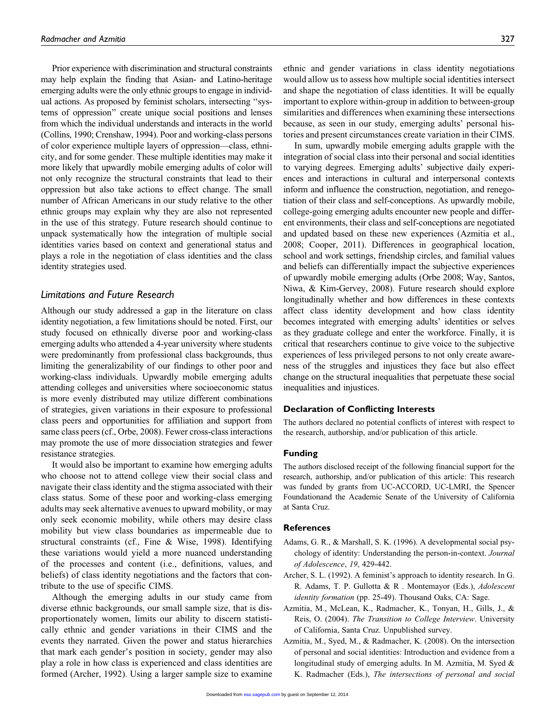Prior experience with discrimination and structural constraints may help explain the finding that Asian- and Latino-heritage emerging adults were the only ethnic groups to engage in individual actions. As proposed by feminist scholars, intersecting ''systems of oppression'' create unique social positions and lenses from which the individual understands and interacts in the world (Collins, 1990; Crenshaw, 1994). Poor and working-class persons of color experience multiple layers of oppression—class, ethnicity, and for some gender. These multiple identities may make it more likely that upwardly mobile emerging adults of color will not only recognize the structural constraints that lead to their oppression but also take actions to effect change. The small number of African Americans in our study relative to the other ethnic groups may explain why they are also not represented in the use of this strategy. Future research should continue to unpack systematically how the integration of multiple social identities varies based on context and generational status and plays a role in the negotiation of class identities and the class identity strategies used.

### Limitations and Future Research

Although our study addressed a gap in the literature on class identity negotiation, a few limitations should be noted. First, our study focused on ethnically diverse poor and working-class emerging adults who attended a 4-year university where students were predominantly from professional class backgrounds, thus limiting the generalizability of our findings to other poor and working-class individuals. Upwardly mobile emerging adults attending colleges and universities where socioeconomic status is more evenly distributed may utilize different combinations of strategies, given variations in their exposure to professional class peers and opportunities for affiliation and support from same class peers (cf., Orbe, 2008). Fewer cross-class interactions may promote the use of more dissociation strategies and fewer resistance strategies.

It would also be important to examine how emerging adults who choose not to attend college view their social class and navigate their class identity and the stigma associated with their class status. Some of these poor and working-class emerging adults may seek alternative avenues to upward mobility, or may only seek economic mobility, while others may desire class mobility but view class boundaries as impermeable due to structural constraints (cf., Fine & Wise, 1998). Identifying these variations would yield a more nuanced understanding of the processes and content (i.e., definitions, values, and beliefs) of class identity negotiations and the factors that contribute to the use of specific CIMS.

Although the emerging adults in our study came from diverse ethnic backgrounds, our small sample size, that is disproportionately women, limits our ability to discern statistically ethnic and gender variations in their CIMS and the events they narrated. Given the power and status hierarchies that mark each gender's position in society, gender may also play a role in how class is experienced and class identities are formed (Archer, 1992). Using a larger sample size to examine

ethnic and gender variations in class identity negotiations would allow us to assess how multiple social identities intersect and shape the negotiation of class identities. It will be equally important to explore within-group in addition to between-group similarities and differences when examining these intersections because, as seen in our study, emerging adults' personal histories and present circumstances create variation in their CIMS.

In sum, upwardly mobile emerging adults grapple with the integration of social class into their personal and social identities to varying degrees. Emerging adults' subjective daily experiences and interactions in cultural and interpersonal contexts inform and influence the construction, negotiation, and renegotiation of their class and self-conceptions. As upwardly mobile, college-going emerging adults encounter new people and different environments, their class and self-conceptions are negotiated and updated based on these new experiences (Azmitia et al., 2008; Cooper, 2011). Differences in geographical location, school and work settings, friendship circles, and familial values and beliefs can differentially impact the subjective experiences of upwardly mobile emerging adults (Orbe 2008; Way, Santos, Niwa, & Kim-Gervey, 2008). Future research should explore longitudinally whether and how differences in these contexts affect class identity development and how class identity becomes integrated with emerging adults' identities or selves as they graduate college and enter the workforce. Finally, it is critical that researchers continue to give voice to the subjective experiences of less privileged persons to not only create awareness of the struggles and injustices they face but also effect change on the structural inequalities that perpetuate these social inequalities and injustices.

#### Declaration of Conflicting Interests

The authors declared no potential conflicts of interest with respect to the research, authorship, and/or publication of this article.

#### Funding

The authors disclosed receipt of the following financial support for the research, authorship, and/or publication of this article: This research was funded by grants from UC-ACCORD, UC-LMRI, the Spencer Foundationand the Academic Senate of the University of California at Santa Cruz.

#### **References**

- Adams, G. R., & Marshall, S. K. (1996). A developmental social psychology of identity: Understanding the person-in-context. Journal of Adolescence, 19, 429-442.
- Archer, S. L. (1992). A feminist's approach to identity research. In G. R. Adams, T. P. Gullotta & R. Montemayor (Eds.), Adolescent identity formation (pp. 25-49). Thousand Oaks, CA: Sage.
- Azmitia, M., McLean, K., Radmacher, K., Tonyan, H., Gills, J., & Reis, O. (2004). The Transition to College Interview. University of California, Santa Cruz. Unpublished survey.
- Azmitia, M., Syed, M., & Radmacher, K. (2008). On the intersection of personal and social identities: Introduction and evidence from a longitudinal study of emerging adults. In M. Azmitia, M. Syed & K. Radmacher (Eds.), The intersections of personal and social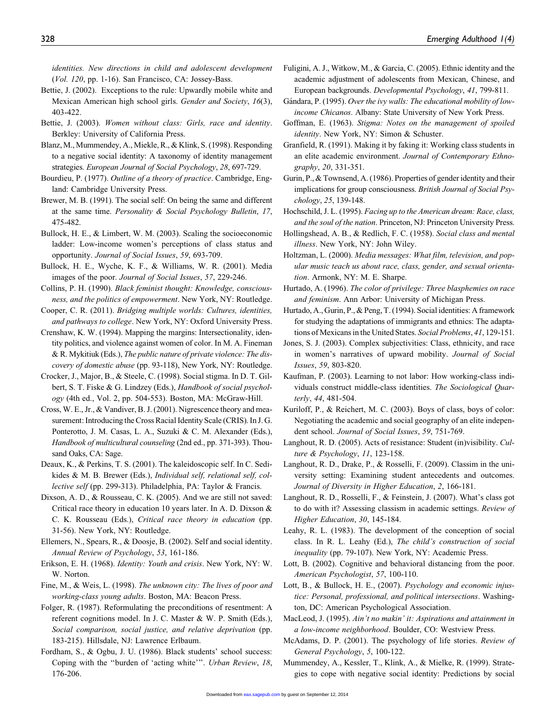identities. New directions in child and adolescent development (Vol. 120, pp. 1-16). San Francisco, CA: Jossey-Bass.

- Bettie, J. (2002). Exceptions to the rule: Upwardly mobile white and Mexican American high school girls. Gender and Society, 16(3), 403-422.
- Bettie, J. (2003). Women without class: Girls, race and identity. Berkley: University of California Press.
- Blanz, M., Mummendey, A., Miekle, R., & Klink, S. (1998). Responding to a negative social identity: A taxonomy of identity management strategies. European Journal of Social Psychology, 28, 697-729.
- Bourdieu, P. (1977). Outline of a theory of practice. Cambridge, England: Cambridge University Press.
- Brewer, M. B. (1991). The social self: On being the same and different at the same time. Personality & Social Psychology Bulletin, 17, 475-482.
- Bullock, H. E., & Limbert, W. M. (2003). Scaling the socioeconomic ladder: Low-income women's perceptions of class status and opportunity. Journal of Social Issues, 59, 693-709.
- Bullock, H. E., Wyche, K. F., & Williams, W. R. (2001). Media images of the poor. Journal of Social Issues, 57, 229-246.
- Collins, P. H. (1990). Black feminist thought: Knowledge, consciousness, and the politics of empowerment. New York, NY: Routledge.
- Cooper, C. R. (2011). Bridging multiple worlds: Cultures, identities, and pathways to college. New York, NY: Oxford University Press.
- Crenshaw, K. W. (1994). Mapping the margins: Intersectionality, identity politics, and violence against women of color. In M. A. Fineman & R. Mykitiuk (Eds.), The public nature of private violence: The discovery of domestic abuse (pp. 93-118), New York, NY: Routledge.
- Crocker, J., Major, B., & Steele, C. (1998). Social stigma. In D. T. Gilbert, S. T. Fiske & G. Lindzey (Eds.), Handbook of social psychology (4th ed., Vol. 2, pp. 504-553). Boston, MA: McGraw-Hill.
- Cross, W. E., Jr., & Vandiver, B. J. (2001). Nigrescence theory and measurement: Introducing the Cross Racial Identity Scale (CRIS). In J. G. Ponterotto, J. M. Casas, L. A., Suzuki & C. M. Alexander (Eds.), Handbook of multicultural counseling (2nd ed., pp. 371-393). Thousand Oaks, CA: Sage.
- Deaux, K., & Perkins, T. S. (2001). The kaleidoscopic self. In C. Sedikides & M. B. Brewer (Eds.), Individual self, relational self, collective self (pp. 299-313). Philadelphia, PA: Taylor & Francis.
- Dixson, A. D., & Rousseau, C. K. (2005). And we are still not saved: Critical race theory in education 10 years later. In A. D. Dixson & C. K. Rousseau (Eds.), Critical race theory in education (pp. 31-56). New York, NY: Routledge.
- Ellemers, N., Spears, R., & Doosje, B. (2002). Self and social identity. Annual Review of Psychology, 53, 161-186.
- Erikson, E. H. (1968). Identity: Youth and crisis. New York, NY: W. W. Norton.
- Fine, M., & Weis, L. (1998). The unknown city: The lives of poor and working-class young adults. Boston, MA: Beacon Press.
- Folger, R. (1987). Reformulating the preconditions of resentment: A referent cognitions model. In J. C. Master & W. P. Smith (Eds.), Social comparison, social justice, and relative deprivation (pp. 183-215). Hillsdale, NJ: Lawrence Erlbaum.
- Fordham, S., & Ogbu, J. U. (1986). Black students' school success: Coping with the ''burden of 'acting white'''. Urban Review, 18, 176-206.
- Fuligini, A. J., Witkow, M., & Garcia, C. (2005). Ethnic identity and the academic adjustment of adolescents from Mexican, Chinese, and European backgrounds. Developmental Psychology, 41, 799-811.
- Gándara, P. (1995). Over the ivy walls: The educational mobility of lowincome Chicanos. Albany: State University of New York Press.
- Goffman, E. (1963). Stigma: Notes on the management of spoiled identity. New York, NY: Simon & Schuster.
- Granfield, R. (1991). Making it by faking it: Working class students in an elite academic environment. Journal of Contemporary Ethnography, 20, 331-351.
- Gurin, P., & Townsend, A. (1986). Properties of gender identity and their implications for group consciousness. British Journal of Social Psychology, 25, 139-148.
- Hochschild, J. L. (1995). Facing up to the American dream: Race, class, and the soul of the nation. Princeton, NJ: Princeton University Press.
- Hollingshead, A. B., & Redlich, F. C. (1958). Social class and mental illness. New York, NY: John Wiley.
- Holtzman, L. (2000). Media messages: What film, television, and popular music teach us about race, class, gender, and sexual orientation. Armonk, NY: M. E. Sharpe.
- Hurtado, A. (1996). The color of privilege: Three blasphemies on race and feminism. Ann Arbor: University of Michigan Press.
- Hurtado, A., Gurin, P., & Peng, T. (1994). Social identities: A framework for studying the adaptations of immigrants and ethnics: The adaptations of Mexicans in the United States. Social Problems, 41, 129-151.
- Jones, S. J. (2003). Complex subjectivities: Class, ethnicity, and race in women's narratives of upward mobility. Journal of Social Issues, 59, 803-820.
- Kaufman, P. (2003). Learning to not labor: How working-class individuals construct middle-class identities. The Sociological Quarterly, 44, 481-504.
- Kuriloff, P., & Reichert, M. C. (2003). Boys of class, boys of color: Negotiating the academic and social geography of an elite independent school. Journal of Social Issues, 59, 751-769.
- Langhout, R. D. (2005). Acts of resistance: Student (in)visibility. Culture & Psychology, 11, 123-158.
- Langhout, R. D., Drake, P., & Rosselli, F. (2009). Classim in the university setting: Examining student antecedents and outcomes. Journal of Diversity in Higher Education, 2, 166-181.
- Langhout, R. D., Rosselli, F., & Feinstein, J. (2007). What's class got to do with it? Assessing classism in academic settings. Review of Higher Education, 30, 145-184.
- Leahy, R. L. (1983). The development of the conception of social class. In R. L. Leahy (Ed.), The child's construction of social inequality (pp. 79-107). New York, NY: Academic Press.
- Lott, B. (2002). Cognitive and behavioral distancing from the poor. American Psychologist, 57, 100-110.
- Lott, B., & Bullock, H. E., (2007). Psychology and economic injustice: Personal, professional, and political intersections. Washington, DC: American Psychological Association.
- MacLeod, J. (1995). Ain't no makin' it: Aspirations and attainment in a low-income neighborhood. Boulder, CO: Westview Press.
- McAdams, D. P. (2001). The psychology of life stories. Review of General Psychology, 5, 100-122.
- Mummendey, A., Kessler, T., Klink, A., & Mielke, R. (1999). Strategies to cope with negative social identity: Predictions by social